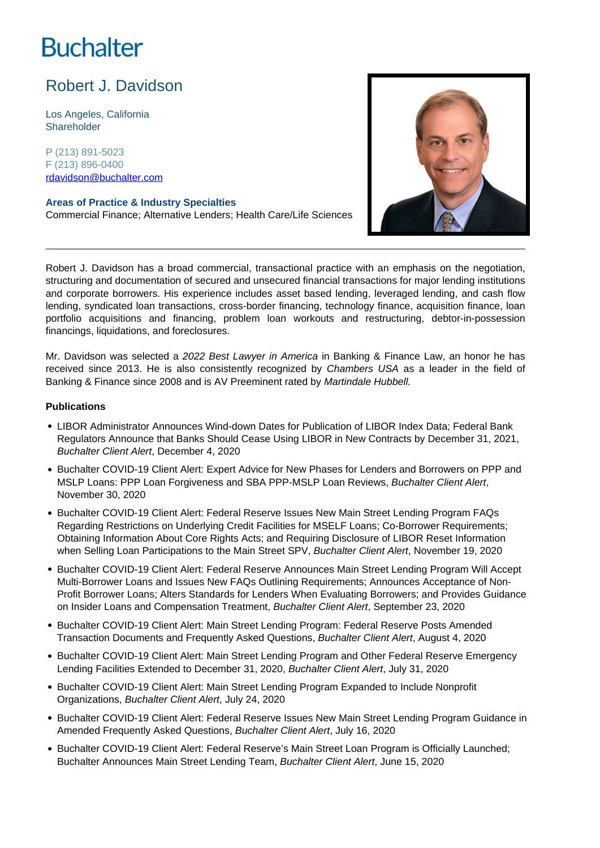# **Buchalter**

## Robert J. Davidson

Los Angeles, California **Shareholder** 

P (213) 891-5023 F (213) 896-0400 rdavidson@buchalter.com

**Areas of Practice & Industry Specialties** Commercial Finance; Alternative Lenders; Health Care/Life Sciences



Robert J. Davidson has a broad commercial, transactional practice with an emphasis on the negotiation, structuring and documentation of secured and unsecured financial transactions for major lending institutions and corporate borrowers. His experience includes asset based lending, leveraged lending, and cash flow lending, syndicated loan transactions, cross-border financing, technology finance, acquisition finance, loan portfolio acquisitions and financing, problem loan workouts and restructuring, debtor-in-possession financings, liquidations, and foreclosures.

Mr. Davidson was selected a 2022 Best Lawyer in America in Banking & Finance Law, an honor he has received since 2013. He is also consistently recognized by Chambers USA as a leader in the field of Banking & Finance since 2008 and is AV Preeminent rated by Martindale Hubbell.

### **Publications**

- LIBOR Administrator Announces Wind-down Dates for Publication of LIBOR Index Data; Federal Bank Regulators Announce that Banks Should Cease Using LIBOR in New Contracts by December 31, 2021, Buchalter Client Alert, December 4, 2020
- Buchalter COVID-19 Client Alert: Expert Advice for New Phases for Lenders and Borrowers on PPP and MSLP Loans: PPP Loan Forgiveness and SBA PPP-MSLP Loan Reviews, Buchalter Client Alert, November 30, 2020
- Buchalter COVID-19 Client Alert: Federal Reserve Issues New Main Street Lending Program FAQs Regarding Restrictions on Underlying Credit Facilities for MSELF Loans; Co-Borrower Requirements; Obtaining Information About Core Rights Acts; and Requiring Disclosure of LIBOR Reset Information when Selling Loan Participations to the Main Street SPV, Buchalter Client Alert, November 19, 2020
- Buchalter COVID-19 Client Alert: Federal Reserve Announces Main Street Lending Program Will Accept Multi-Borrower Loans and Issues New FAQs Outlining Requirements; Announces Acceptance of Non-Profit Borrower Loans; Alters Standards for Lenders When Evaluating Borrowers; and Provides Guidance on Insider Loans and Compensation Treatment, Buchalter Client Alert, September 23, 2020
- **Buchalter COVID-19 Client Alert: Main Street Lending Program: Federal Reserve Posts Amended** Transaction Documents and Frequently Asked Questions, Buchalter Client Alert, August 4, 2020
- Buchalter COVID-19 Client Alert: Main Street Lending Program and Other Federal Reserve Emergency Lending Facilities Extended to December 31, 2020, Buchalter Client Alert, July 31, 2020
- Buchalter COVID-19 Client Alert: Main Street Lending Program Expanded to Include Nonprofit Organizations, Buchalter Client Alert, July 24, 2020
- Buchalter COVID-19 Client Alert: Federal Reserve Issues New Main Street Lending Program Guidance in Amended Frequently Asked Questions, Buchalter Client Alert, July 16, 2020
- Buchalter COVID-19 Client Alert: Federal Reserve's Main Street Loan Program is Officially Launched; Buchalter Announces Main Street Lending Team, Buchalter Client Alert, June 15, 2020